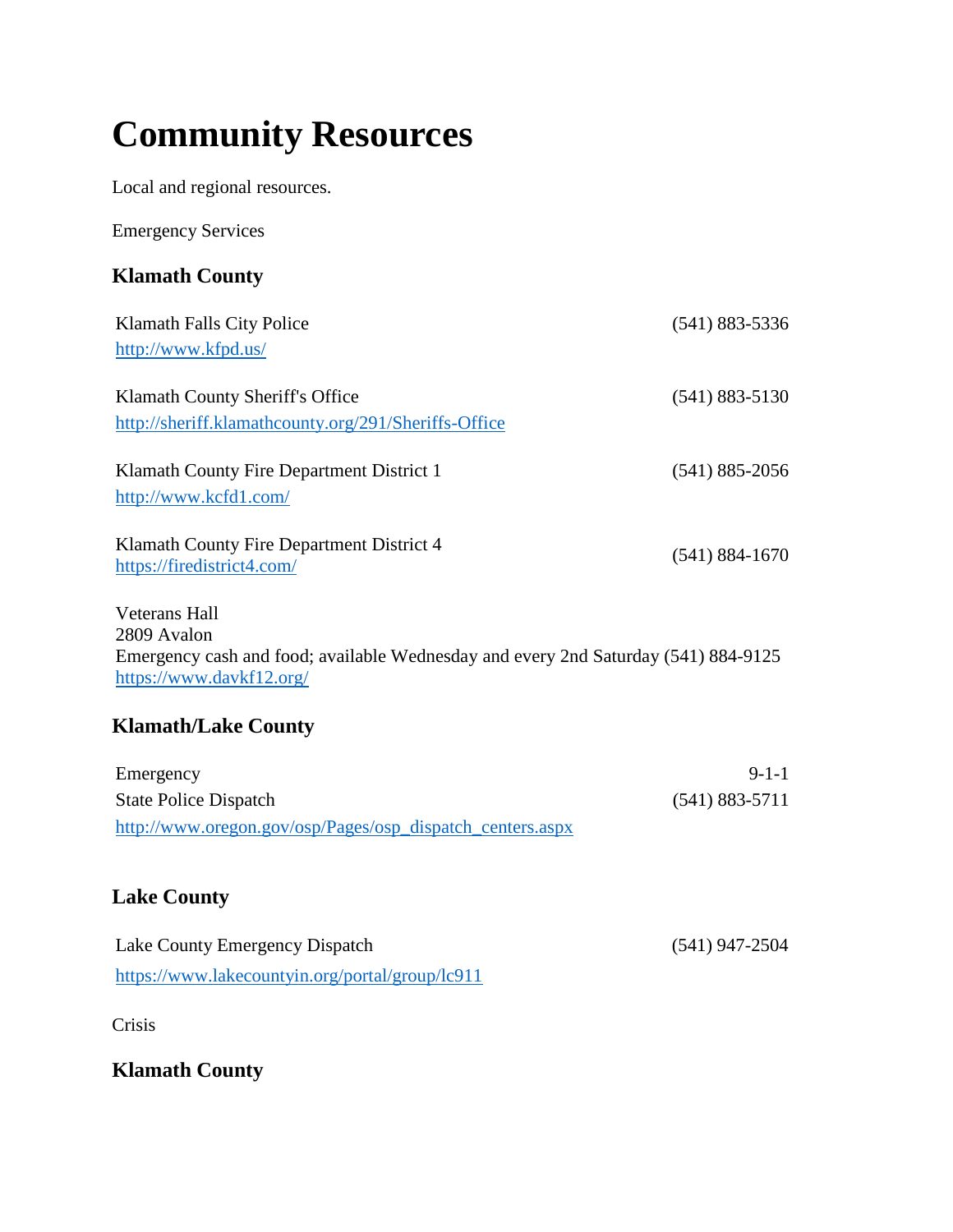# **Community Resources**

Local and regional resources.

Emergency Services

# **Klamath County**

| Klamath Falls City Police                                                                                      | $(541) 883 - 5336$ |
|----------------------------------------------------------------------------------------------------------------|--------------------|
| http://www.kfpd.us/                                                                                            |                    |
| Klamath County Sheriff's Office<br>http://sheriff.klamathcounty.org/291/Sheriffs-Office                        | $(541) 883 - 5130$ |
| Klamath County Fire Department District 1                                                                      | $(541)$ 885-2056   |
| http://www.kcfd1.com/                                                                                          |                    |
| Klamath County Fire Department District 4<br>https://firedistrict4.com/                                        | $(541) 884 - 1670$ |
| <b>Veterans Hall</b>                                                                                           |                    |
| 2809 Avalon                                                                                                    |                    |
| Emergency cash and food; available Wednesday and every 2nd Saturday (541) 884-9125<br>https://www.davkf12.org/ |                    |
| <b>Klamath/Lake County</b>                                                                                     |                    |

| Emergency                                                 | $9-1-1$            |
|-----------------------------------------------------------|--------------------|
| <b>State Police Dispatch</b>                              | $(541) 883 - 5711$ |
| http://www.oregon.gov/osp/Pages/osp_dispatch_centers.aspx |                    |

#### **Lake County**

| Lake County Emergency Dispatch                  | $(541)$ 947-2504 |
|-------------------------------------------------|------------------|
| https://www.lakecountyin.org/portal/group/lc911 |                  |

Crisis

**Klamath County**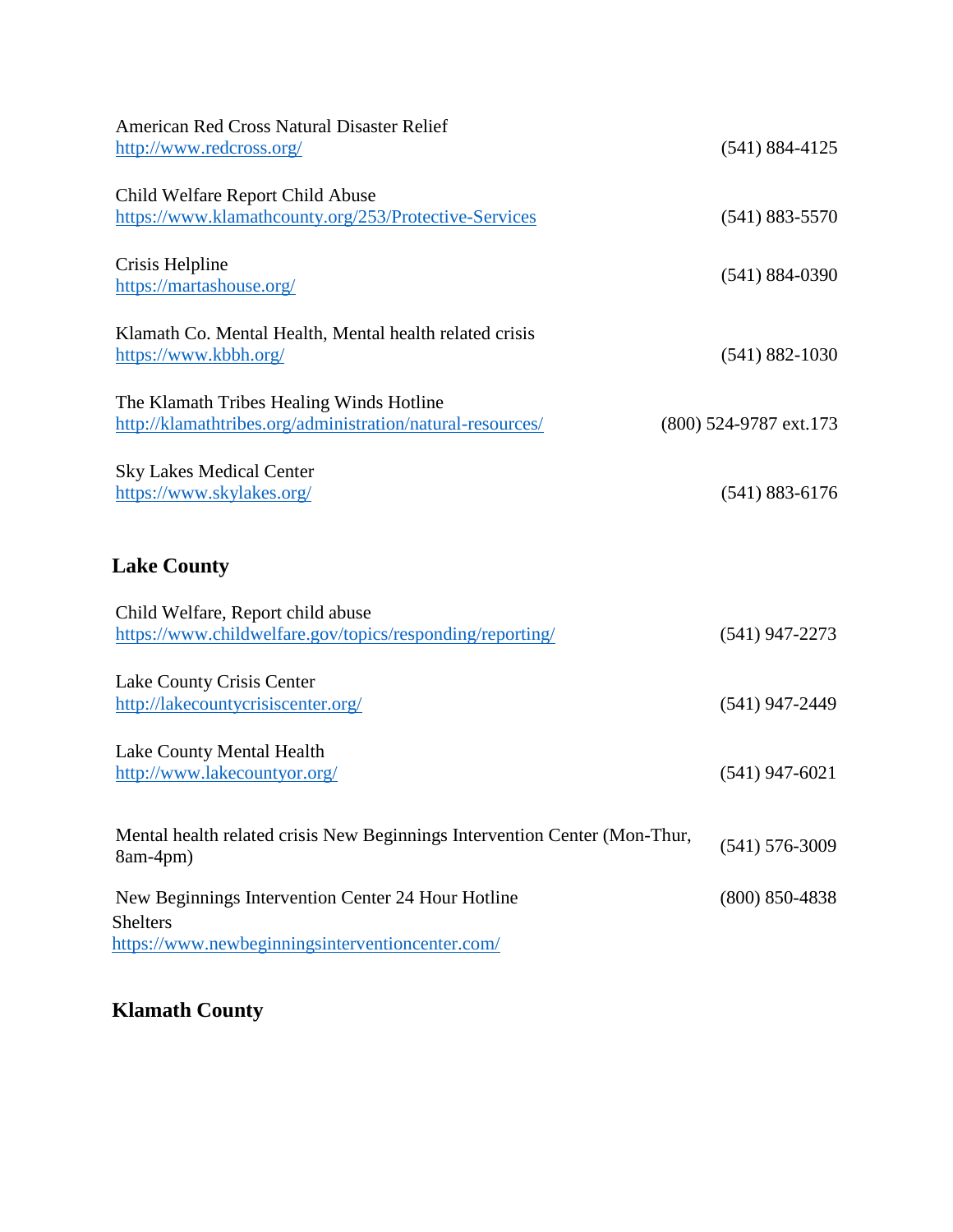| <b>American Red Cross Natural Disaster Relief</b>                                                      |                        |
|--------------------------------------------------------------------------------------------------------|------------------------|
| http://www.redcross.org/                                                                               | $(541) 884 - 4125$     |
| Child Welfare Report Child Abuse                                                                       |                        |
| https://www.klamathcounty.org/253/Protective-Services                                                  | $(541) 883 - 5570$     |
|                                                                                                        |                        |
| Crisis Helpline<br>https://martashouse.org/                                                            | $(541) 884 - 0390$     |
| Klamath Co. Mental Health, Mental health related crisis                                                |                        |
| https://www.kbbh.org/                                                                                  | $(541) 882 - 1030$     |
|                                                                                                        |                        |
| The Klamath Tribes Healing Winds Hotline<br>http://klamathtribes.org/administration/natural-resources/ | (800) 524-9787 ext.173 |
|                                                                                                        |                        |
| <b>Sky Lakes Medical Center</b><br>https://www.skylakes.org/                                           | $(541) 883 - 6176$     |
|                                                                                                        |                        |
| <b>Lake County</b>                                                                                     |                        |
| Child Welfare, Report child abuse                                                                      |                        |
| https://www.childwelfare.gov/topics/responding/reporting/                                              | $(541)$ 947-2273       |
| Lake County Crisis Center                                                                              |                        |
| http://lakecountycrisiscenter.org/                                                                     | $(541)$ 947-2449       |
| Lake County Mental Health                                                                              |                        |
| http://www.lakecountyor.org/                                                                           | $(541)$ 947-6021       |
|                                                                                                        |                        |
| Mental health related crisis New Beginnings Intervention Center (Mon-Thur,<br>8am-4pm)                 | $(541) 576 - 3009$     |
| New Beginnings Intervention Center 24 Hour Hotline                                                     | $(800)$ 850-4838       |
| <b>Shelters</b>                                                                                        |                        |
| https://www.newbeginningsinterventioncenter.com/                                                       |                        |

**Klamath County**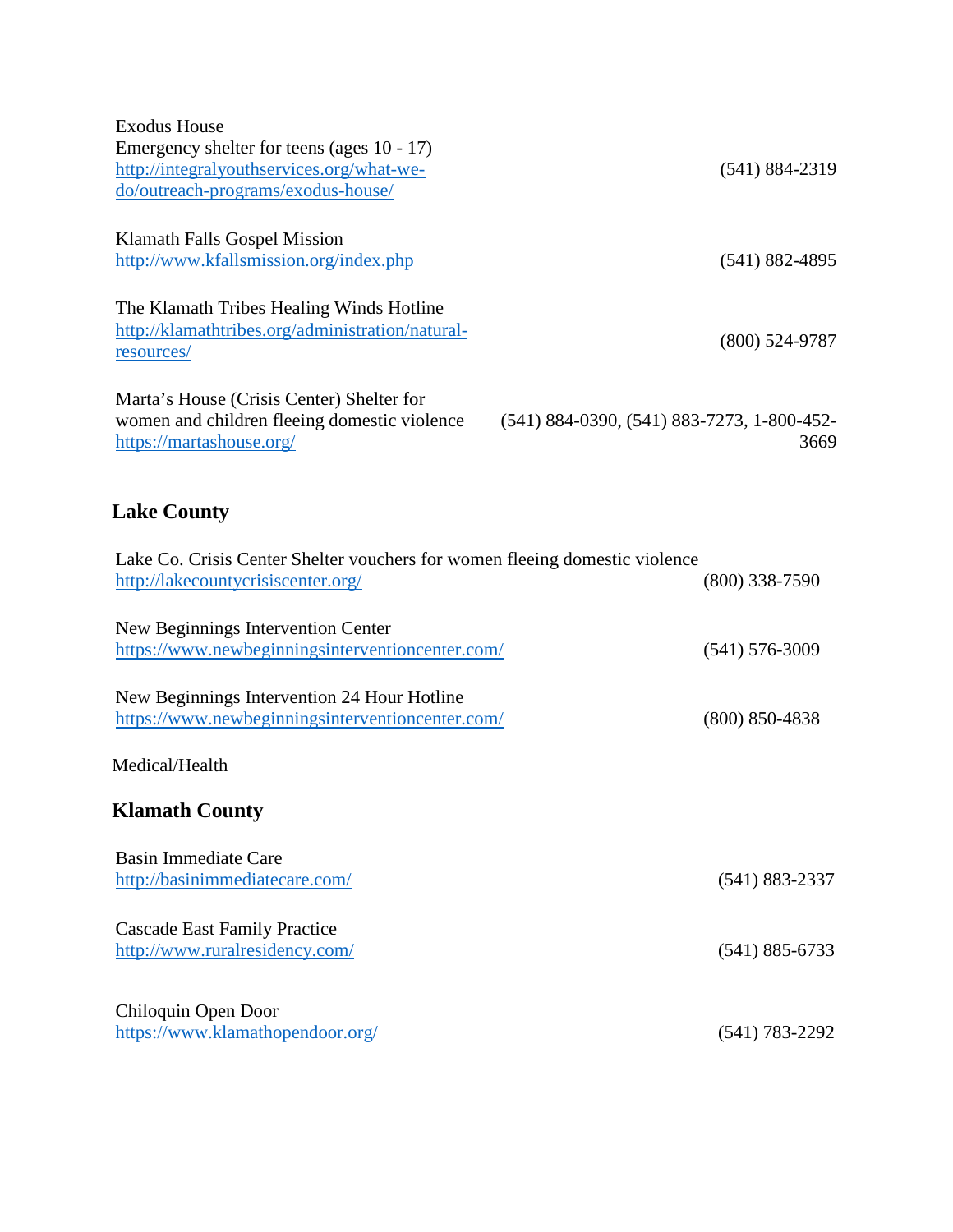| <b>Exodus House</b>                                                         |                                                |
|-----------------------------------------------------------------------------|------------------------------------------------|
| Emergency shelter for teens (ages 10 - 17)                                  |                                                |
| http://integralyouthservices.org/what-we-                                   | $(541) 884 - 2319$                             |
| do/outreach-programs/exodus-house/                                          |                                                |
|                                                                             |                                                |
| Klamath Falls Gospel Mission                                                |                                                |
| http://www.kfallsmission.org/index.php                                      | $(541) 882 - 4895$                             |
|                                                                             |                                                |
| The Klamath Tribes Healing Winds Hotline                                    |                                                |
| http://klamathtribes.org/administration/natural-                            | $(800)$ 524-9787                               |
| resources/                                                                  |                                                |
|                                                                             |                                                |
| Marta's House (Crisis Center) Shelter for                                   |                                                |
| women and children fleeing domestic violence                                | $(541)$ 884-0390, $(541)$ 883-7273, 1-800-452- |
| https://martashouse.org/                                                    | 3669                                           |
|                                                                             |                                                |
|                                                                             |                                                |
| <b>Lake County</b>                                                          |                                                |
|                                                                             |                                                |
| Lake Co. Crisis Center Shelter vouchers for women fleeing domestic violence |                                                |
| http://lakecountycrisiscenter.org/                                          | $(800)$ 338-7590                               |
|                                                                             |                                                |
| New Beginnings Intervention Center                                          |                                                |
| https://www.newbeginningsinterventioncenter.com/                            | $(541)$ 576-3009                               |
|                                                                             |                                                |
| New Beginnings Intervention 24 Hour Hotline                                 |                                                |
| https://www.newbeginningsinterventioncenter.com/                            | $(800)$ 850-4838                               |
|                                                                             |                                                |
| Medical/Health                                                              |                                                |
|                                                                             |                                                |
| <b>Klamath County</b>                                                       |                                                |
|                                                                             |                                                |
| <b>Basin Immediate Care</b>                                                 |                                                |
| http://basinimmediatecare.com/                                              | $(541) 883 - 2337$                             |
|                                                                             |                                                |
| <b>Cascade East Family Practice</b>                                         |                                                |
| http://www.ruralresidency.com/                                              | $(541) 885 - 6733$                             |
|                                                                             |                                                |
|                                                                             |                                                |
| Chiloquin Open Door                                                         |                                                |
| https://www.klamathopendoor.org/                                            | $(541) 783 - 2292$                             |
|                                                                             |                                                |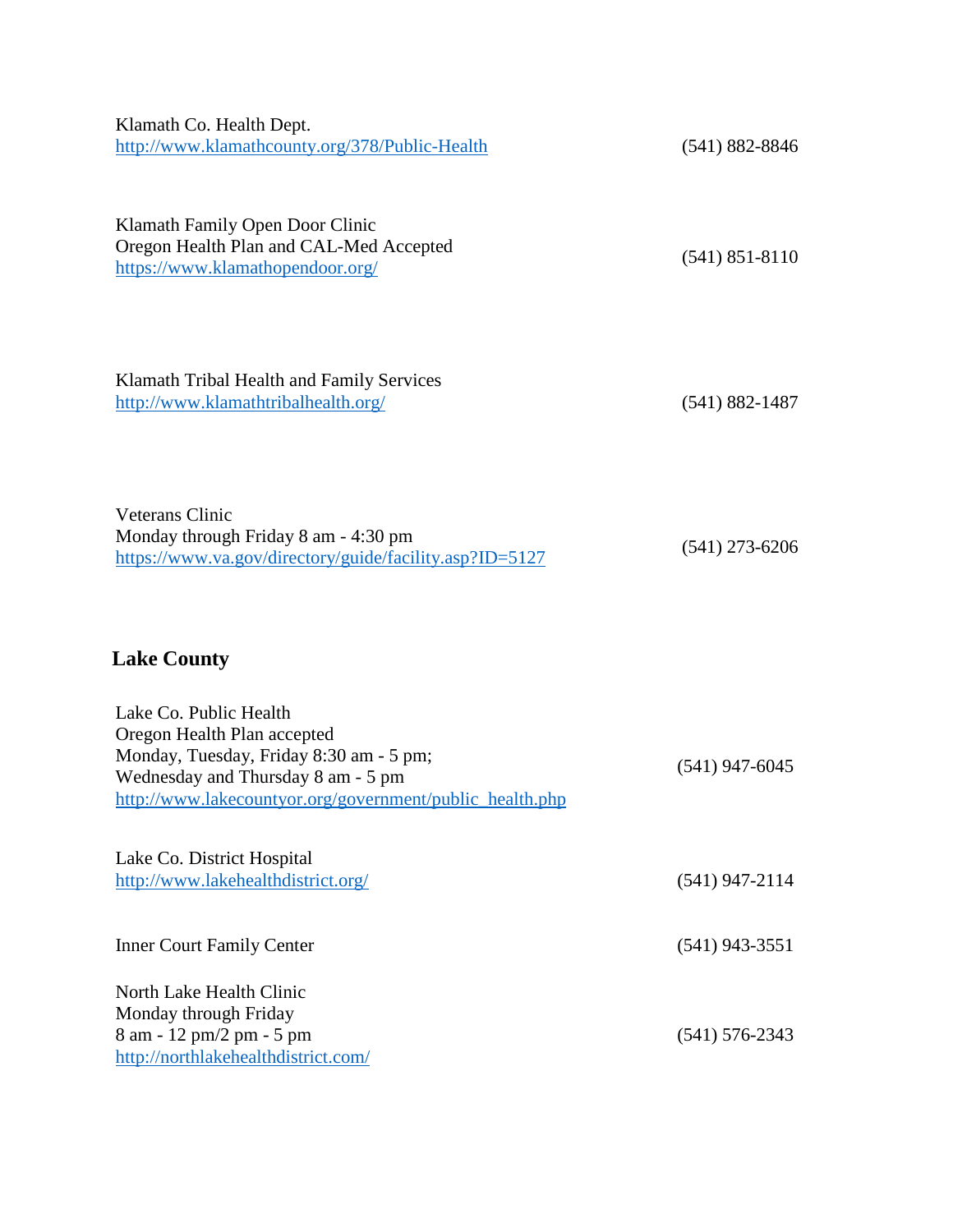| Klamath Co. Health Dept.<br>http://www.klamathcounty.org/378/Public-Health                                                                                                                         | $(541) 882 - 8846$ |
|----------------------------------------------------------------------------------------------------------------------------------------------------------------------------------------------------|--------------------|
| Klamath Family Open Door Clinic<br>Oregon Health Plan and CAL-Med Accepted<br>https://www.klamathopendoor.org/                                                                                     | $(541)$ 851-8110   |
| Klamath Tribal Health and Family Services<br>http://www.klamathtribalhealth.org/                                                                                                                   | $(541) 882 - 1487$ |
| <b>Veterans Clinic</b><br>Monday through Friday 8 am - 4:30 pm<br>https://www.va.gov/directory/guide/facility.asp?ID=5127                                                                          | $(541)$ 273-6206   |
| <b>Lake County</b>                                                                                                                                                                                 |                    |
| Lake Co. Public Health<br>Oregon Health Plan accepted<br>Monday, Tuesday, Friday 8:30 am - 5 pm;<br>Wednesday and Thursday 8 am - 5 pm<br>http://www.lakecountyor.org/government/public_health.php | $(541)$ 947-6045   |
| Lake Co. District Hospital<br>http://www.lakehealthdistrict.org/                                                                                                                                   | $(541)$ 947-2114   |
| <b>Inner Court Family Center</b>                                                                                                                                                                   | $(541)$ 943-3551   |
| North Lake Health Clinic<br>Monday through Friday<br>8 am - 12 pm/2 pm - 5 pm<br>http://northlakehealthdistrict.com/                                                                               | $(541) 576 - 2343$ |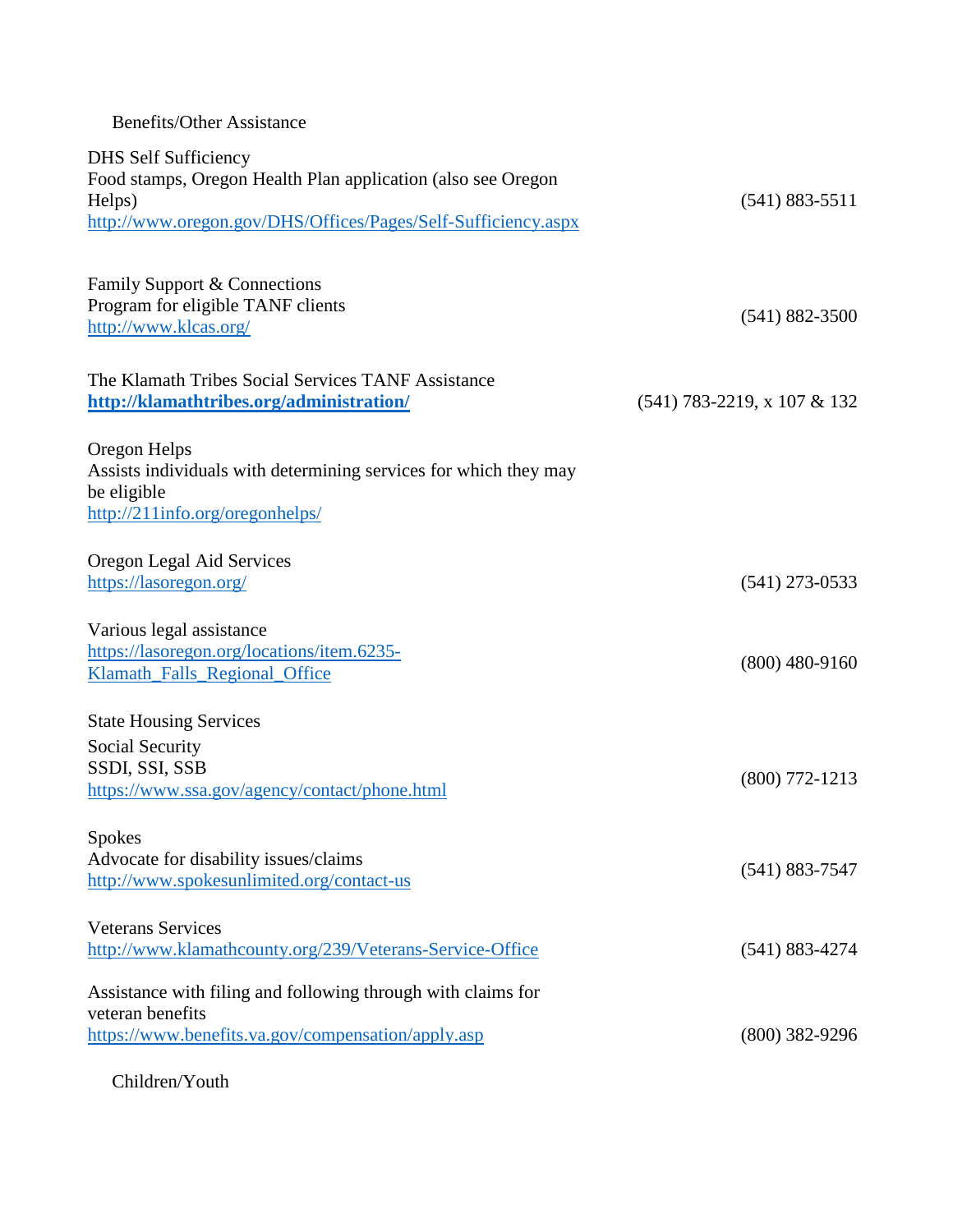#### Benefits/Other Assistance

| <b>DHS Self Sufficiency</b>                                                     |                               |
|---------------------------------------------------------------------------------|-------------------------------|
| Food stamps, Oregon Health Plan application (also see Oregon                    |                               |
| Helps)                                                                          | $(541) 883 - 5511$            |
| http://www.oregon.gov/DHS/Offices/Pages/Self-Sufficiency.aspx                   |                               |
|                                                                                 |                               |
| Family Support & Connections                                                    |                               |
| Program for eligible TANF clients                                               |                               |
| http://www.klcas.org/                                                           | $(541) 882 - 3500$            |
|                                                                                 |                               |
| The Klamath Tribes Social Services TANF Assistance                              |                               |
| http://klamathtribes.org/administration/                                        | $(541)$ 783-2219, x 107 & 132 |
|                                                                                 |                               |
| Oregon Helps                                                                    |                               |
| Assists individuals with determining services for which they may<br>be eligible |                               |
| http://211info.org/oregonhelps/                                                 |                               |
|                                                                                 |                               |
| Oregon Legal Aid Services                                                       |                               |
| https://lasoregon.org/                                                          | $(541)$ 273-0533              |
|                                                                                 |                               |
| Various legal assistance                                                        |                               |
| https://lasoregon.org/locations/item.6235-                                      | $(800)$ 480-9160              |
| Klamath_Falls_Regional_Office                                                   |                               |
| <b>State Housing Services</b>                                                   |                               |
| Social Security                                                                 |                               |
| SSDI, SSI, SSB                                                                  |                               |
| https://www.ssa.gov/agency/contact/phone.html                                   | $(800)$ 772-1213              |
|                                                                                 |                               |
| <b>Spokes</b>                                                                   |                               |
| Advocate for disability issues/claims                                           | $(541) 883 - 7547$            |
| http://www.spokesunlimited.org/contact-us                                       |                               |
| <b>Veterans Services</b>                                                        |                               |
| http://www.klamathcounty.org/239/Veterans-Service-Office                        | $(541) 883 - 4274$            |
|                                                                                 |                               |
| Assistance with filing and following through with claims for                    |                               |
| veteran benefits                                                                |                               |
| https://www.benefits.va.gov/compensation/apply.asp                              | $(800)$ 382-9296              |
|                                                                                 |                               |

Children/Youth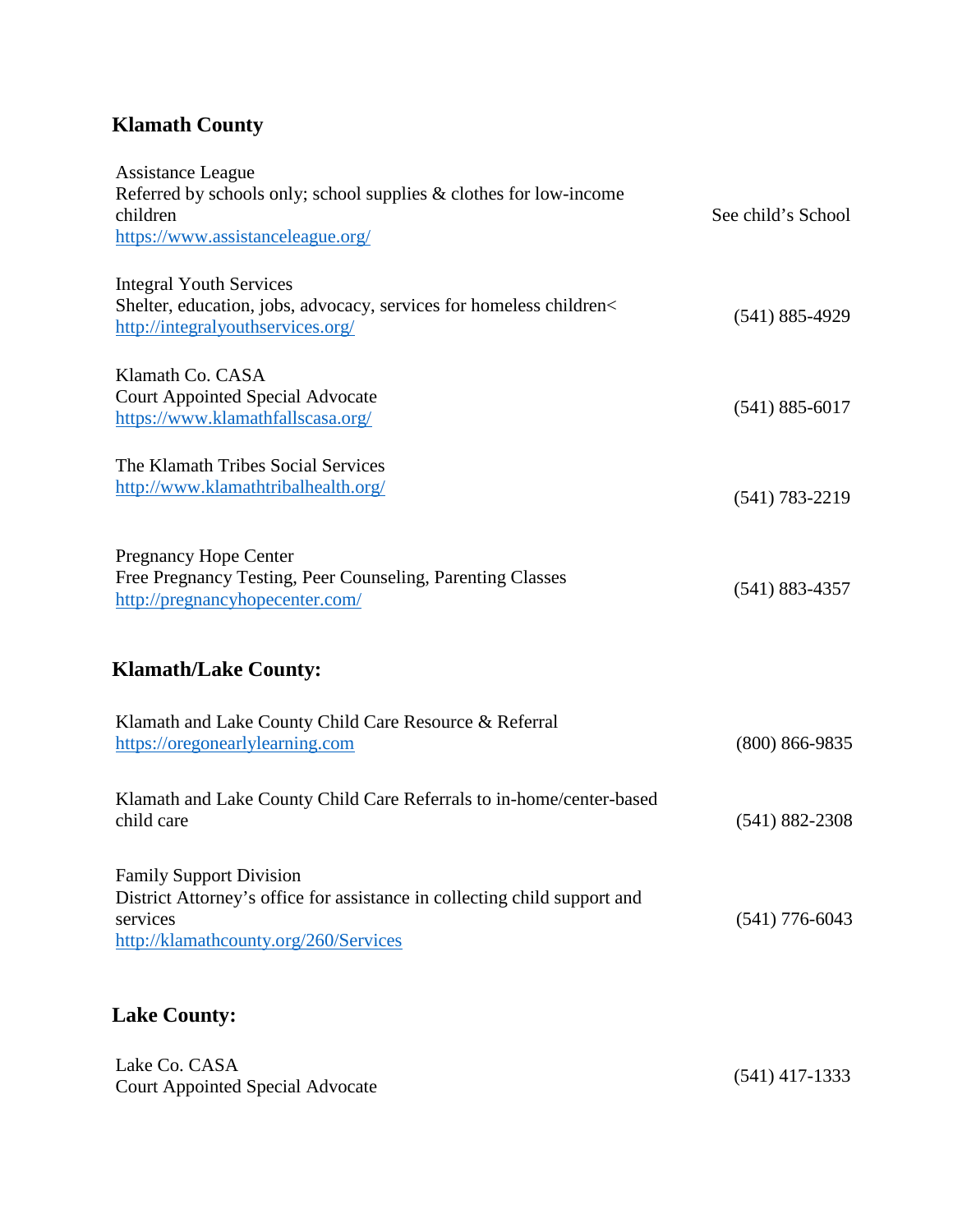## **Klamath County**

| Assistance League<br>Referred by schools only; school supplies $&$ clothes for low-income<br>children<br>https://www.assistanceleague.org/                       | See child's School |
|------------------------------------------------------------------------------------------------------------------------------------------------------------------|--------------------|
| <b>Integral Youth Services</b><br>Shelter, education, jobs, advocacy, services for homeless children<<br>http://integralyouthservices.org/                       | $(541) 885 - 4929$ |
| Klamath Co. CASA<br><b>Court Appointed Special Advocate</b><br>https://www.klamathfallscasa.org/                                                                 | $(541) 885 - 6017$ |
| The Klamath Tribes Social Services<br>http://www.klamathtribalhealth.org/                                                                                        | $(541) 783 - 2219$ |
| <b>Pregnancy Hope Center</b><br>Free Pregnancy Testing, Peer Counseling, Parenting Classes<br>http://pregnancyhopecenter.com/                                    | $(541) 883 - 4357$ |
| <b>Klamath/Lake County:</b>                                                                                                                                      |                    |
| Klamath and Lake County Child Care Resource & Referral<br>https://oregonearlylearning.com                                                                        | $(800) 866 - 9835$ |
| Klamath and Lake County Child Care Referrals to in-home/center-based<br>child care                                                                               | $(541) 882 - 2308$ |
| <b>Family Support Division</b><br>District Attorney's office for assistance in collecting child support and<br>services<br>http://klamathcounty.org/260/Services | $(541)$ 776-6043   |

## **Lake County:**

| Lake Co. CASA                           | $(541)$ 417-1333 |
|-----------------------------------------|------------------|
| <b>Court Appointed Special Advocate</b> |                  |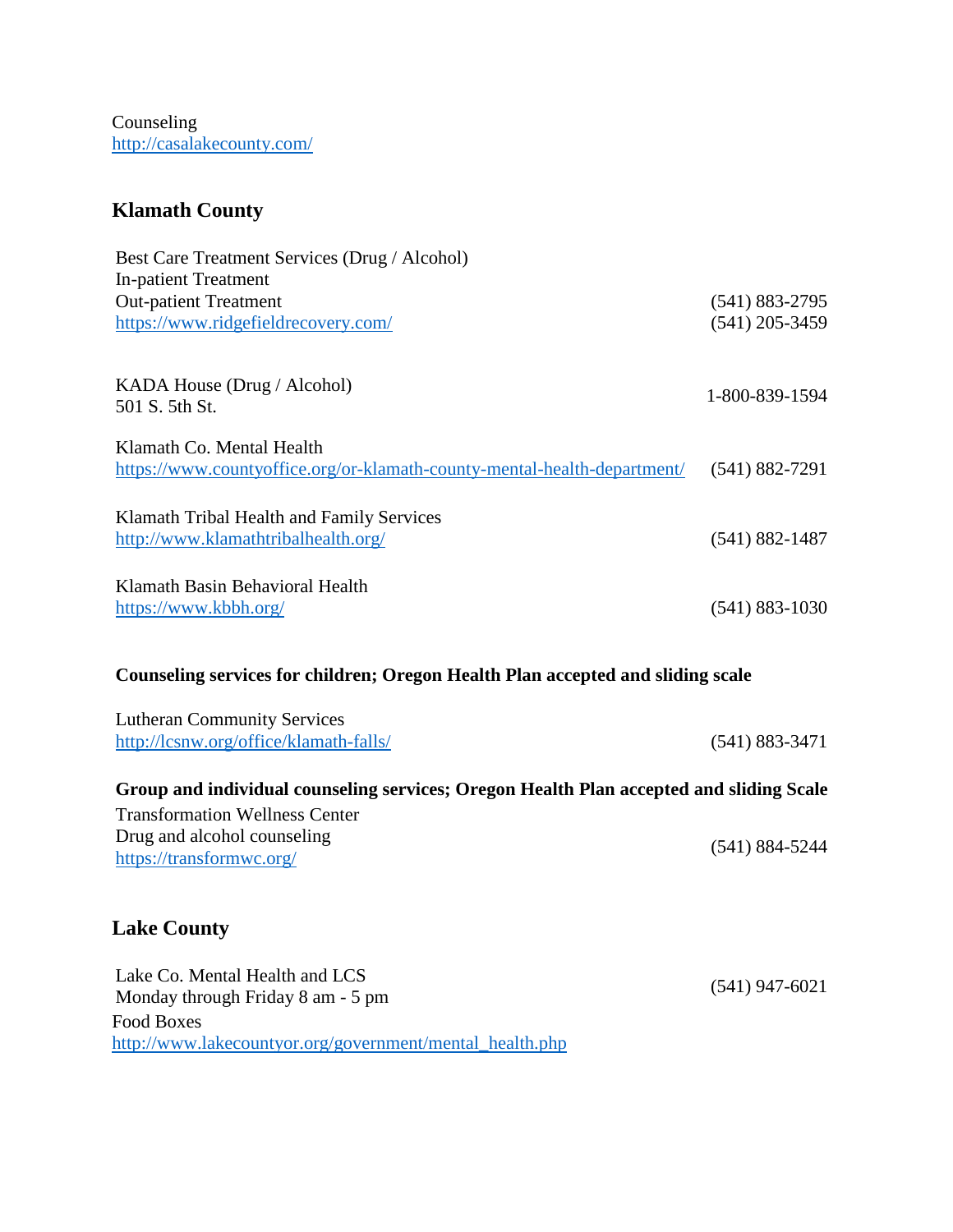Counseling <http://casalakecounty.com/>

#### **Klamath County**

| Best Care Treatment Services (Drug / Alcohol)<br><b>In-patient Treatment</b><br><b>Out-patient Treatment</b><br>https://www.ridgefieldrecovery.com/ | $(541) 883 - 2795$<br>$(541)$ 205-3459 |
|-----------------------------------------------------------------------------------------------------------------------------------------------------|----------------------------------------|
| KADA House (Drug / Alcohol)<br>501 S. 5th St.                                                                                                       | 1-800-839-1594                         |
| Klamath Co. Mental Health<br>https://www.countyoffice.org/or-klamath-county-mental-health-department/                                               | $(541) 882 - 7291$                     |
| Klamath Tribal Health and Family Services<br>http://www.klamathtribalhealth.org/                                                                    | $(541) 882 - 1487$                     |
| Klamath Basin Behavioral Health<br>https://www.kbbh.org/                                                                                            | $(541) 883 - 1030$                     |
|                                                                                                                                                     |                                        |

#### **Counseling services for children; Oregon Health Plan accepted and sliding scale**

| <b>Lutheran Community Services</b>     |                    |
|----------------------------------------|--------------------|
| http://lcsnw.org/office/klamath-falls/ | $(541) 883 - 3471$ |

#### **Group and individual counseling services; Oregon Health Plan accepted and sliding Scale**

Transformation Wellness Center Drug and alcohol counseling <https://transformwc.org/> (541) 884-5244

#### **Lake County**

| Lake Co. Mental Health and LCS                           |                  |
|----------------------------------------------------------|------------------|
| Monday through Friday 8 am - 5 pm                        | $(541)$ 947-6021 |
| Food Boxes                                               |                  |
| http://www.lakecountyor.org/government/mental health.php |                  |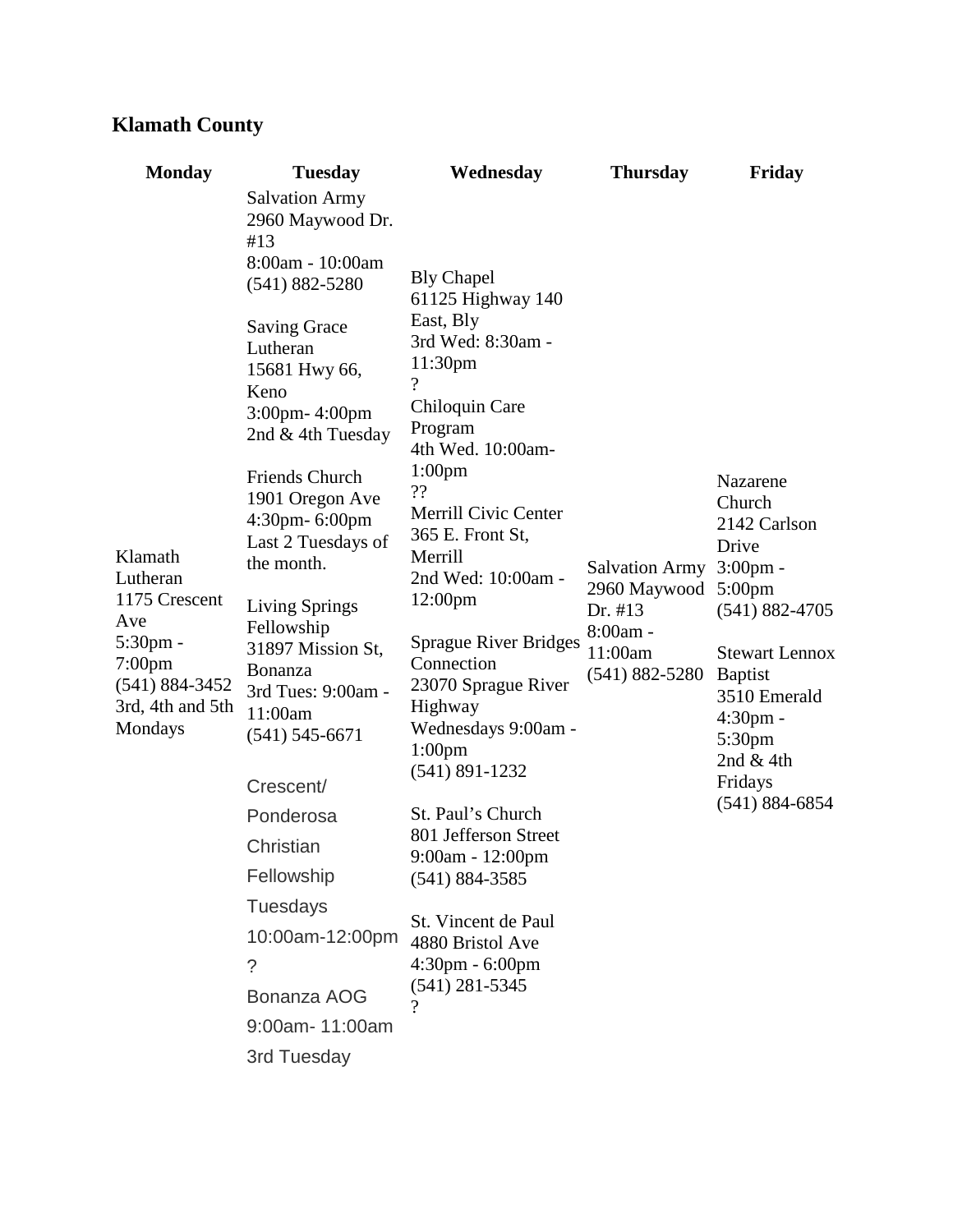## **Klamath County**

| <b>Monday</b>                                                                                                             | <b>Tuesday</b>                                                                                                           | Wednesday                                                                                                                                                                                                                                                                                                                                                                                                | <b>Thursday</b>                                                                               | Friday                                                                                                                                                                                                                                       |
|---------------------------------------------------------------------------------------------------------------------------|--------------------------------------------------------------------------------------------------------------------------|----------------------------------------------------------------------------------------------------------------------------------------------------------------------------------------------------------------------------------------------------------------------------------------------------------------------------------------------------------------------------------------------------------|-----------------------------------------------------------------------------------------------|----------------------------------------------------------------------------------------------------------------------------------------------------------------------------------------------------------------------------------------------|
|                                                                                                                           | <b>Salvation Army</b><br>2960 Maywood Dr.<br>#13                                                                         |                                                                                                                                                                                                                                                                                                                                                                                                          |                                                                                               |                                                                                                                                                                                                                                              |
| Klamath<br>Lutheran<br>1175 Crescent<br>Ave<br>$5:30$ pm -<br>7:00pm<br>$(541) 884 - 3452$<br>3rd, 4th and 5th<br>Mondays | 8:00am - 10:00am<br>$(541) 882 - 5280$                                                                                   | <b>Bly Chapel</b><br>61125 Highway 140<br>East, Bly<br>3rd Wed: 8:30am -<br>11:30pm<br>?<br>Chiloquin Care<br>Program<br>4th Wed. 10:00am-<br>1:00 <sub>pm</sub><br>??<br><b>Merrill Civic Center</b><br>365 E. Front St,<br>Merrill<br>2nd Wed: 10:00am -<br>12:00pm<br>Sprague River Bridges<br>Connection<br>23070 Sprague River<br>Highway<br>Wednesdays 9:00am -<br>$1:00$ pm<br>$(541) 891 - 1232$ | <b>Salvation Army</b><br>2960 Maywood<br>Dr. #13<br>8:00am -<br>11:00am<br>$(541) 882 - 5280$ | Nazarene<br>Church<br>2142 Carlson<br>Drive<br>$3:00$ pm -<br>$5:00$ pm<br>$(541) 882 - 4705$<br><b>Stewart Lennox</b><br><b>Baptist</b><br>3510 Emerald<br>$4:30pm$ -<br>5:30 <sub>pm</sub><br>2nd $&$ 4th<br>Fridays<br>$(541) 884 - 6854$ |
|                                                                                                                           | <b>Saving Grace</b><br>Lutheran<br>15681 Hwy 66,<br>Keno<br>3:00pm-4:00pm<br>2nd & 4th Tuesday                           |                                                                                                                                                                                                                                                                                                                                                                                                          |                                                                                               |                                                                                                                                                                                                                                              |
|                                                                                                                           | <b>Friends Church</b><br>1901 Oregon Ave<br>4:30pm- 6:00pm<br>Last 2 Tuesdays of<br>the month.                           |                                                                                                                                                                                                                                                                                                                                                                                                          |                                                                                               |                                                                                                                                                                                                                                              |
|                                                                                                                           | Living Springs<br>Fellowship<br>31897 Mission St,<br><b>Bonanza</b><br>3rd Tues: 9:00am -<br>11:00am<br>$(541)$ 545-6671 |                                                                                                                                                                                                                                                                                                                                                                                                          |                                                                                               |                                                                                                                                                                                                                                              |
|                                                                                                                           | Crescent/                                                                                                                |                                                                                                                                                                                                                                                                                                                                                                                                          |                                                                                               |                                                                                                                                                                                                                                              |
|                                                                                                                           | Ponderosa                                                                                                                | St. Paul's Church<br>801 Jefferson Street<br>9:00am - 12:00pm<br>$(541) 884 - 3585$                                                                                                                                                                                                                                                                                                                      |                                                                                               |                                                                                                                                                                                                                                              |
|                                                                                                                           | Christian                                                                                                                |                                                                                                                                                                                                                                                                                                                                                                                                          |                                                                                               |                                                                                                                                                                                                                                              |
|                                                                                                                           | Fellowship                                                                                                               |                                                                                                                                                                                                                                                                                                                                                                                                          |                                                                                               |                                                                                                                                                                                                                                              |
|                                                                                                                           | <b>Tuesdays</b>                                                                                                          | St. Vincent de Paul<br>4880 Bristol Ave<br>$4:30 \text{pm} - 6:00 \text{pm}$<br>$(541)$ 281-5345                                                                                                                                                                                                                                                                                                         |                                                                                               |                                                                                                                                                                                                                                              |
|                                                                                                                           | 10:00am-12:00pm                                                                                                          |                                                                                                                                                                                                                                                                                                                                                                                                          |                                                                                               |                                                                                                                                                                                                                                              |
|                                                                                                                           | $\tilde{?}$<br>Bonanza AOG                                                                                               |                                                                                                                                                                                                                                                                                                                                                                                                          |                                                                                               |                                                                                                                                                                                                                                              |
|                                                                                                                           | 9:00am-11:00am                                                                                                           | $\boldsymbol{\gamma}$                                                                                                                                                                                                                                                                                                                                                                                    |                                                                                               |                                                                                                                                                                                                                                              |
|                                                                                                                           | 3rd Tuesday                                                                                                              |                                                                                                                                                                                                                                                                                                                                                                                                          |                                                                                               |                                                                                                                                                                                                                                              |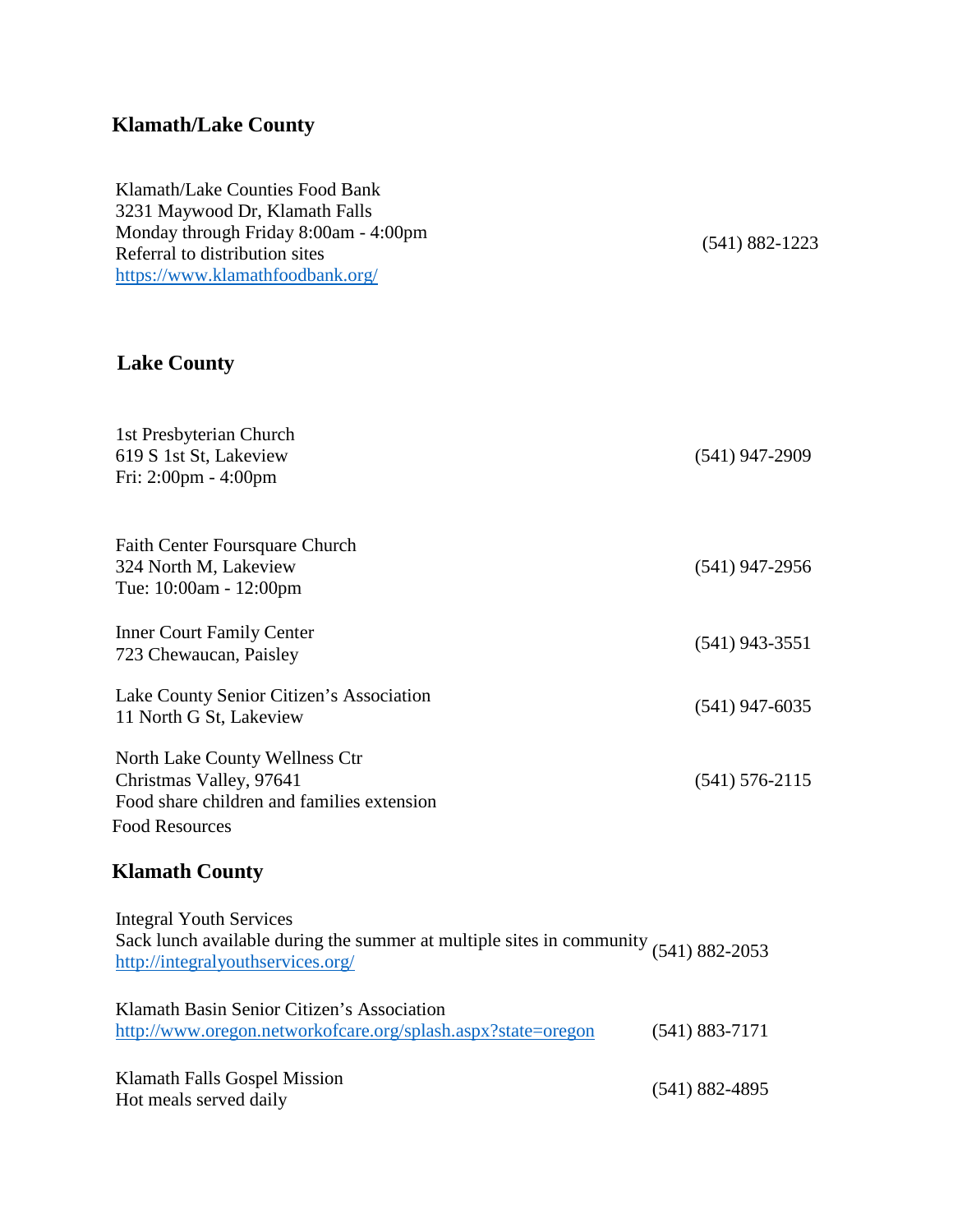## **Klamath/Lake County**

| Klamath/Lake Counties Food Bank       |
|---------------------------------------|
| 3231 Maywood Dr, Klamath Falls        |
| Monday through Friday 8:00am - 4:00pm |
| Referral to distribution sites        |
| https://www.klamathfoodbank.org/      |
|                                       |

## **Lake County**

| 1st Presbyterian Church<br>619 S 1st St, Lakeview<br>Fri: 2:00pm - 4:00pm                                                                                     | $(541)$ 947-2909   |
|---------------------------------------------------------------------------------------------------------------------------------------------------------------|--------------------|
| Faith Center Foursquare Church<br>324 North M, Lakeview<br>Tue: 10:00am - 12:00pm                                                                             | $(541)$ 947-2956   |
| <b>Inner Court Family Center</b><br>723 Chewaucan, Paisley                                                                                                    | $(541)$ 943-3551   |
| Lake County Senior Citizen's Association<br>11 North G St, Lakeview                                                                                           | $(541)$ 947-6035   |
| North Lake County Wellness Ctr<br>Christmas Valley, 97641<br>Food share children and families extension<br><b>Food Resources</b>                              | $(541) 576 - 2115$ |
| <b>Klamath County</b>                                                                                                                                         |                    |
| <b>Integral Youth Services</b><br>Sack lunch available during the summer at multiple sites in community $(541)$ 882-2053<br>http://integralyouthservices.org/ |                    |
| Klamath Basin Senior Citizen's Association<br>http://www.oregon.networkofcare.org/splash.aspx?state=oregon                                                    | $(541) 883 - 7171$ |
| Klamath Falls Gospel Mission<br>Hot meals served daily                                                                                                        | $(541) 882 - 4895$ |

(541) 882-1223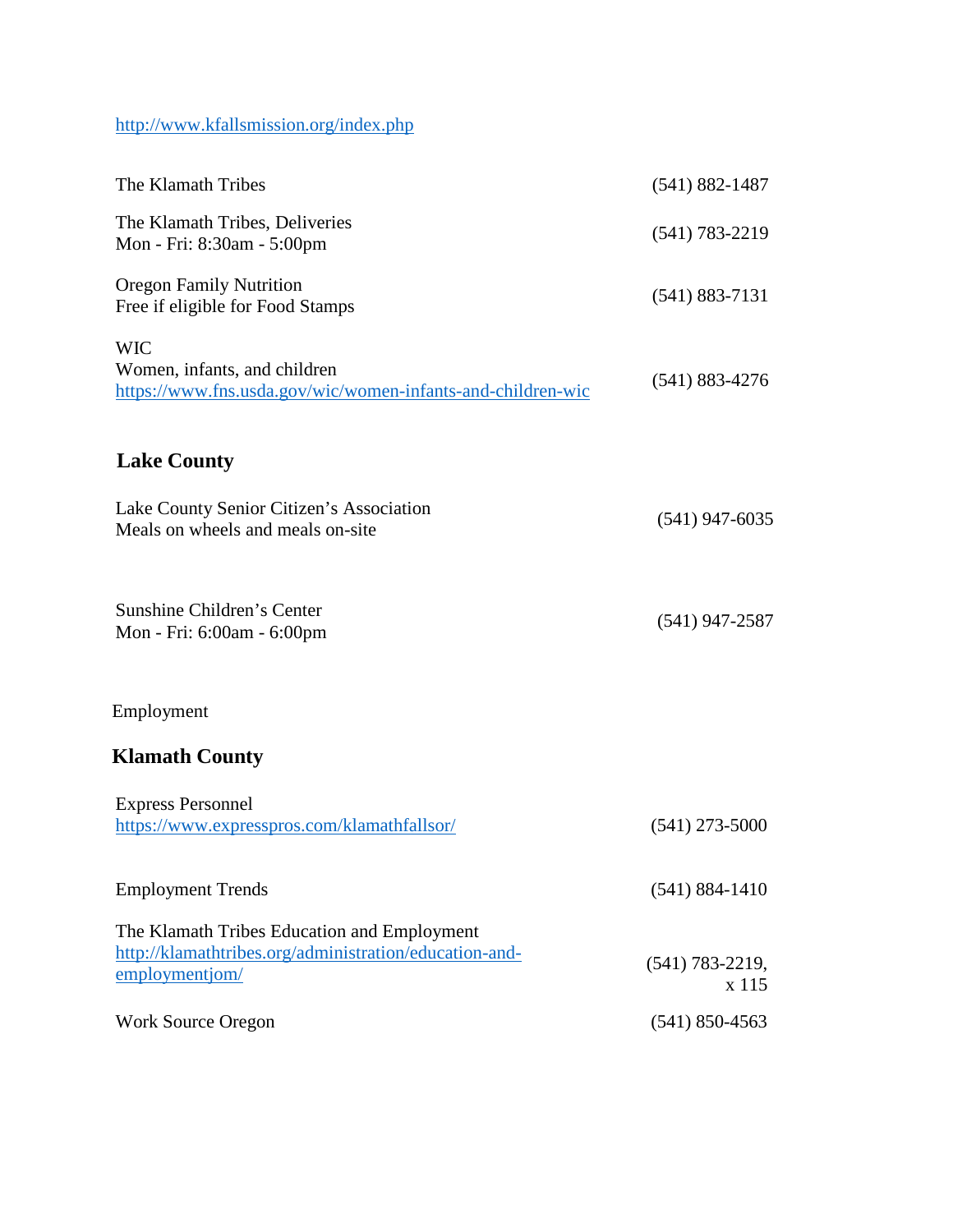<http://www.kfallsmission.org/index.php>

| The Klamath Tribes                                                                                                      | $(541) 882 - 1487$         |
|-------------------------------------------------------------------------------------------------------------------------|----------------------------|
| The Klamath Tribes, Deliveries<br>Mon - Fri: 8:30am - 5:00pm                                                            | $(541) 783 - 2219$         |
| <b>Oregon Family Nutrition</b><br>Free if eligible for Food Stamps                                                      | $(541) 883 - 7131$         |
| <b>WIC</b><br>Women, infants, and children<br>https://www.fns.usda.gov/wic/women-infants-and-children-wic               | $(541)$ 883-4276           |
| <b>Lake County</b>                                                                                                      |                            |
| Lake County Senior Citizen's Association<br>Meals on wheels and meals on-site                                           | $(541)$ 947-6035           |
| Sunshine Children's Center<br>Mon - Fri: 6:00am - 6:00pm                                                                | $(541)$ 947-2587           |
| Employment                                                                                                              |                            |
| <b>Klamath County</b>                                                                                                   |                            |
| <b>Express Personnel</b><br>https://www.expresspros.com/klamathfallsor/                                                 | $(541)$ 273-5000           |
| <b>Employment Trends</b>                                                                                                | $(541) 884 - 1410$         |
| The Klamath Tribes Education and Employment<br>http://klamathtribes.org/administration/education-and-<br>employmentiom/ | $(541)$ 783-2219,<br>x 115 |
| <b>Work Source Oregon</b>                                                                                               | $(541)$ 850-4563           |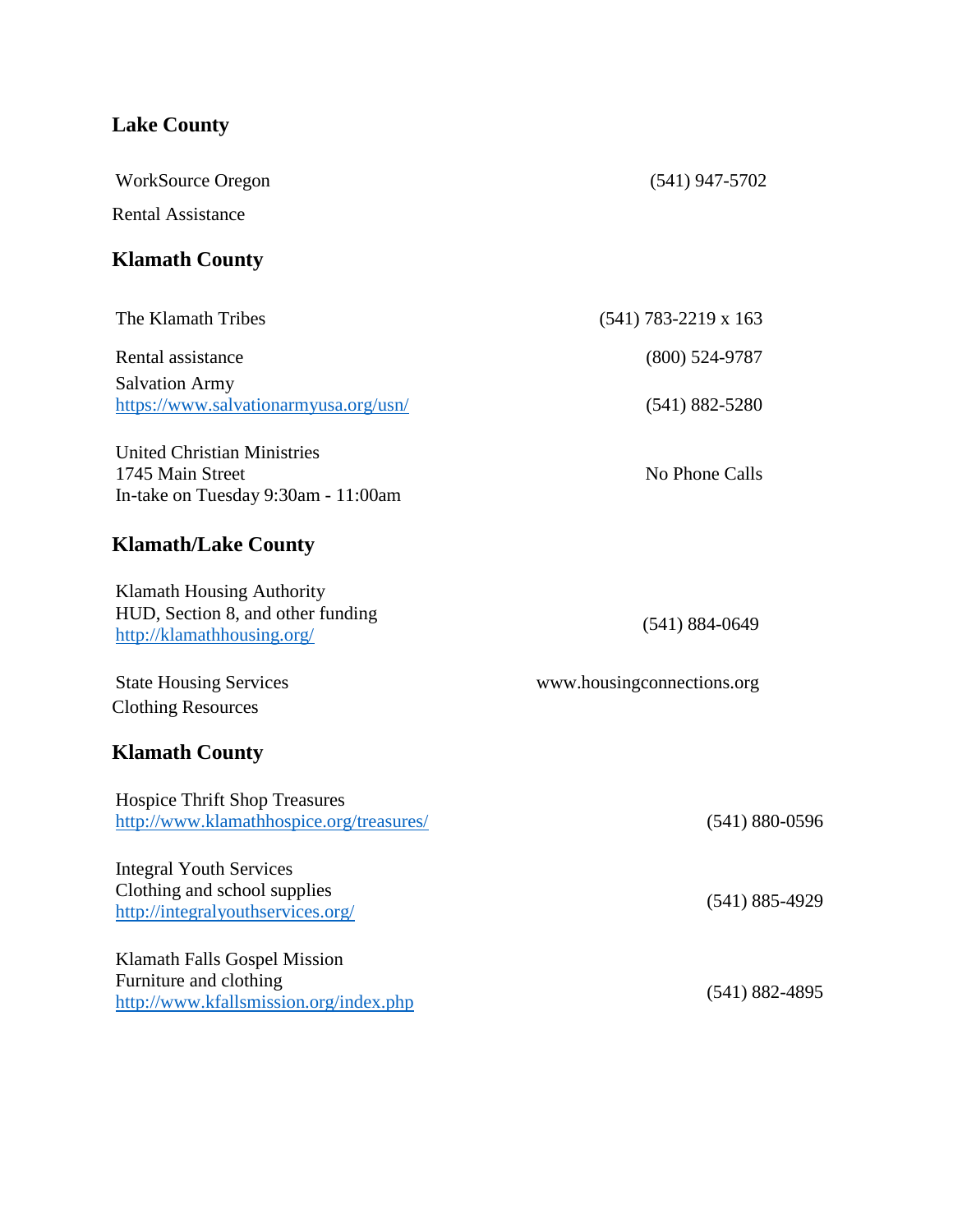## **Lake County**

| <b>WorkSource Oregon</b>                                                                            | $(541)$ 947-5702           |
|-----------------------------------------------------------------------------------------------------|----------------------------|
| <b>Rental Assistance</b>                                                                            |                            |
| <b>Klamath County</b>                                                                               |                            |
| The Klamath Tribes                                                                                  | $(541)$ 783-2219 x 163     |
| Rental assistance                                                                                   | $(800)$ 524-9787           |
| <b>Salvation Army</b><br>https://www.salvationarmyusa.org/usn/                                      | $(541) 882 - 5280$         |
| <b>United Christian Ministries</b><br>1745 Main Street<br>In-take on Tuesday 9:30am - 11:00am       | No Phone Calls             |
| <b>Klamath/Lake County</b>                                                                          |                            |
| <b>Klamath Housing Authority</b><br>HUD, Section 8, and other funding<br>http://klamathhousing.org/ | $(541) 884 - 0649$         |
| <b>State Housing Services</b><br><b>Clothing Resources</b>                                          | www.housingconnections.org |
| <b>Klamath County</b>                                                                               |                            |
| <b>Hospice Thrift Shop Treasures</b><br>http://www.klamathhospice.org/treasures/                    | $(541) 880 - 0596$         |
| <b>Integral Youth Services</b><br>Clothing and school supplies<br>http://integralyouthservices.org/ | $(541) 885 - 4929$         |
| Klamath Falls Gospel Mission<br>Furniture and clothing<br>http://www.kfallsmission.org/index.php    | $(541) 882 - 4895$         |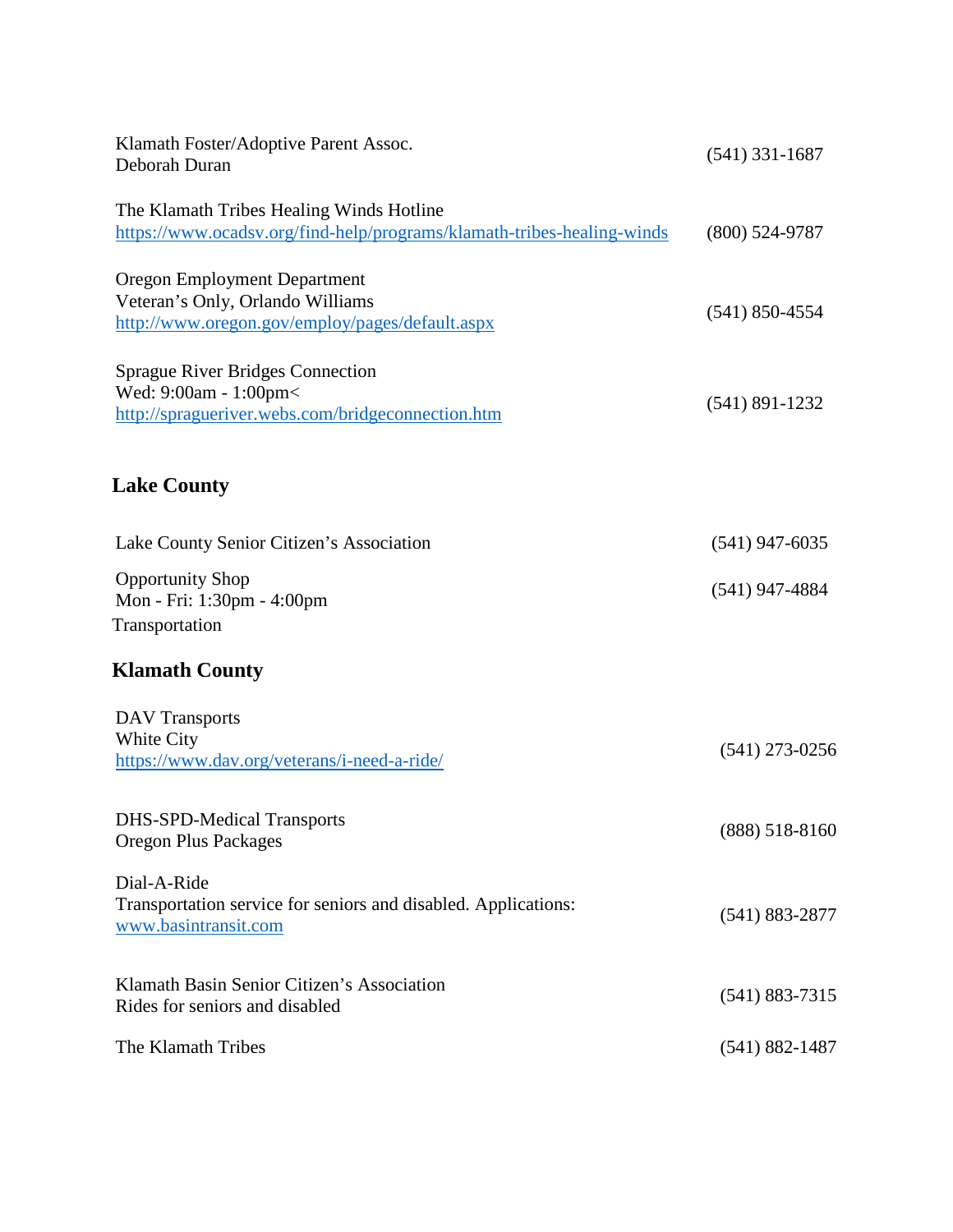| Klamath Foster/Adoptive Parent Assoc.<br>Deborah Duran                                                                     | $(541)$ 331-1687   |  |
|----------------------------------------------------------------------------------------------------------------------------|--------------------|--|
| The Klamath Tribes Healing Winds Hotline<br>https://www.ocadsv.org/find-help/programs/klamath-tribes-healing-winds         | $(800)$ 524-9787   |  |
| <b>Oregon Employment Department</b><br>Veteran's Only, Orlando Williams<br>http://www.oregon.gov/employ/pages/default.aspx | $(541)$ 850-4554   |  |
| <b>Sprague River Bridges Connection</b><br>Wed: 9:00am - 1:00pm<<br>http://spragueriver.webs.com/bridgeconnection.htm      | $(541) 891 - 1232$ |  |
| <b>Lake County</b>                                                                                                         |                    |  |
| Lake County Senior Citizen's Association                                                                                   | $(541)$ 947-6035   |  |
| <b>Opportunity Shop</b><br>Mon - Fri: 1:30pm - 4:00pm<br>Transportation                                                    | $(541)$ 947-4884   |  |
| <b>Klamath County</b>                                                                                                      |                    |  |
| <b>DAV</b> Transports<br>White City<br>https://www.dav.org/veterans/i-need-a-ride/                                         | $(541)$ 273-0256   |  |
| <b>DHS-SPD-Medical Transports</b><br><b>Oregon Plus Packages</b>                                                           | $(888) 518 - 8160$ |  |
| Dial-A-Ride<br>Transportation service for seniors and disabled. Applications:<br>www.basintransit.com                      | $(541) 883 - 2877$ |  |
| Klamath Basin Senior Citizen's Association<br>Rides for seniors and disabled                                               | $(541) 883 - 7315$ |  |
| The Klamath Tribes                                                                                                         | $(541) 882 - 1487$ |  |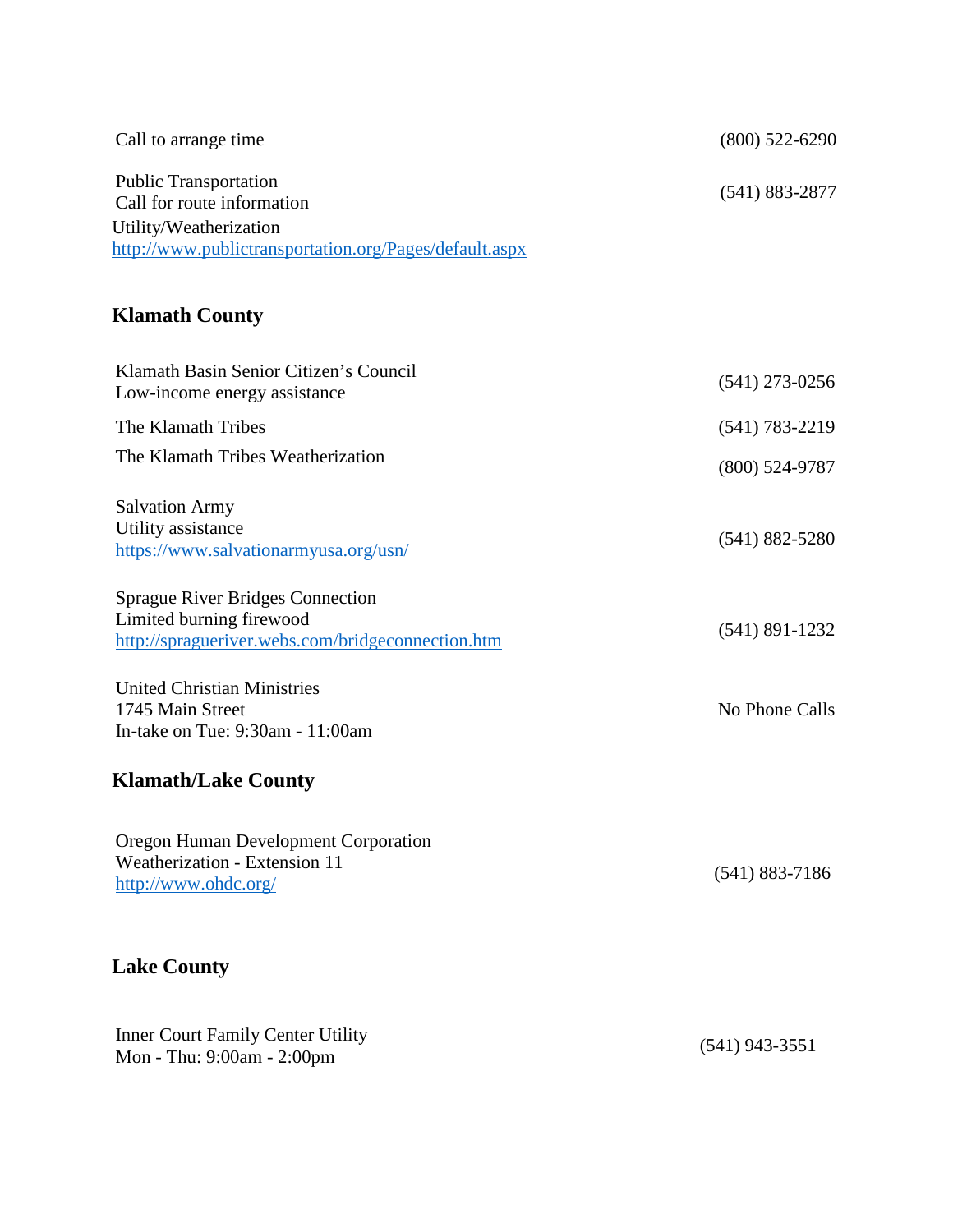| Call to arrange time                                                             | $(800)$ 522-6290   |
|----------------------------------------------------------------------------------|--------------------|
| <b>Public Transportation</b><br>Call for route information                       | $(541) 883 - 2877$ |
| Utility/Weatherization<br>http://www.publictransportation.org/Pages/default.aspx |                    |
| <b>Klamath County</b>                                                            |                    |

| Klamath Basin Senior Citizen's Council<br>Low-income energy assistance                                                                                       | $(541)$ 273-0256   |
|--------------------------------------------------------------------------------------------------------------------------------------------------------------|--------------------|
| The Klamath Tribes                                                                                                                                           | $(541) 783 - 2219$ |
| The Klamath Tribes Weatherization                                                                                                                            | $(800)$ 524-9787   |
| <b>Salvation Army</b><br>Utility assistance<br>https://www.salvationarmyusa.org/usn/                                                                         | $(541) 882 - 5280$ |
| <b>Sprague River Bridges Connection</b><br>Limited burning firewood<br>http://spragueriver.webs.com/bridgeconnection.htm                                     | $(541) 891 - 1232$ |
| <b>United Christian Ministries</b><br>1745 Main Street<br>In-take on Tue: 9:30am - 11:00am                                                                   | No Phone Calls     |
| <b>Klamath/Lake County</b>                                                                                                                                   |                    |
| Oregon Human Development Corporation<br>Weatherization - Extension 11<br>http://www.ohdc.org/                                                                | $(541) 883 - 7186$ |
| <b>Lake County</b>                                                                                                                                           |                    |
| $\Gamma_{\text{max}}$ of $\Gamma_{\text{max}}$ $\Gamma_{\text{max}}$ $\Gamma_{\text{max}}$ $\Gamma_{\text{max}}$ $\Gamma_{\text{max}}$ $\Gamma_{\text{max}}$ |                    |

Inner Court Family Center Utility Mon - Thu: 9:00am - 2:00pm (541) 943-3551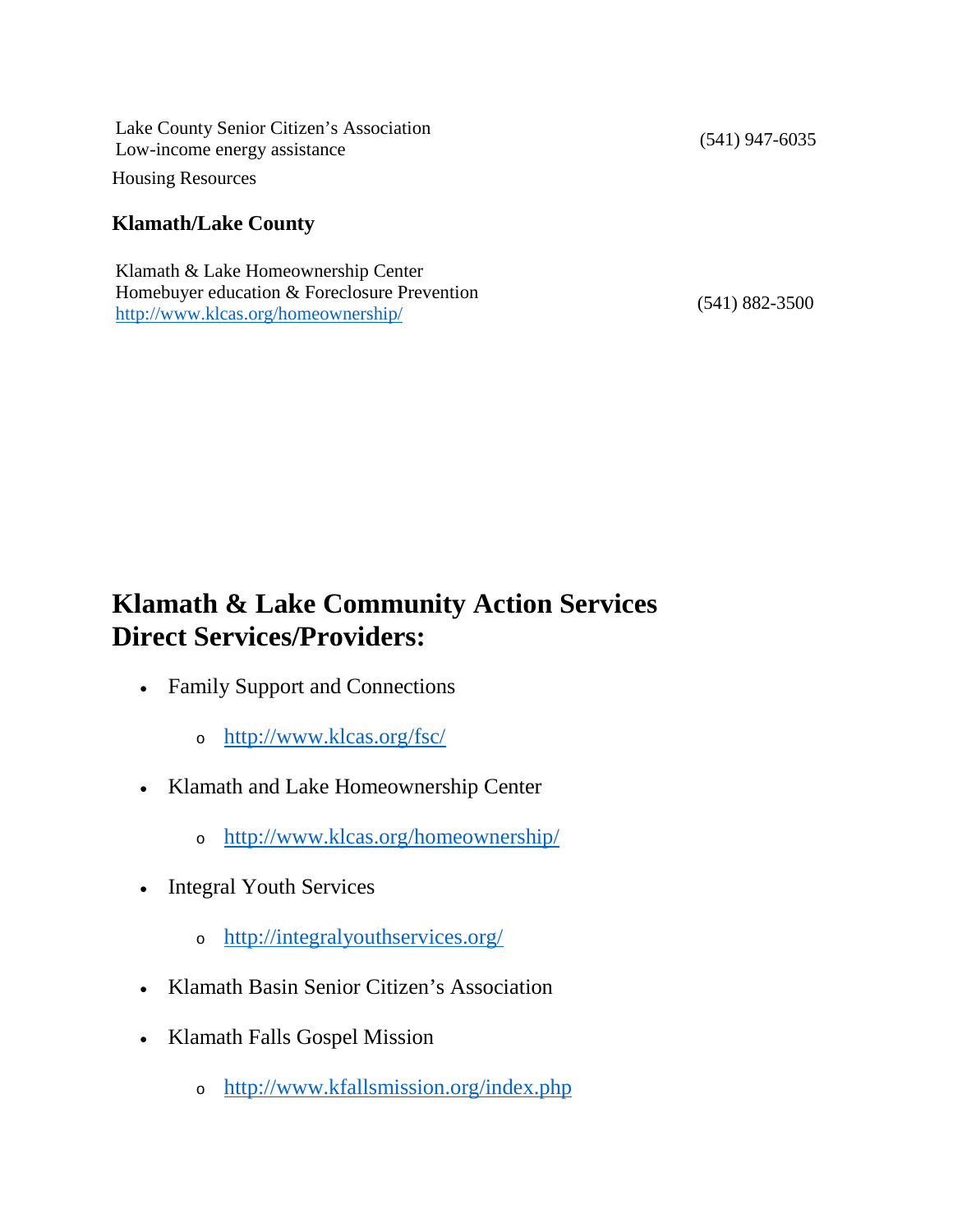Lake County Senior Citizen's Association Low-income energy assistance (541) 947-6035 Housing Resources

#### **Klamath/Lake County**

Klamath & Lake Homeownership Center Homebuyer education & Foreclosure Prevention <http://www.klcas.org/homeownership/> (541) 882-3500

## **Klamath & Lake Community Action Services Direct Services/Providers:**

- Family Support and Connections
	- <sup>o</sup> <http://www.klcas.org/fsc/>
- Klamath and Lake Homeownership Center
	- <sup>o</sup> <http://www.klcas.org/homeownership/>
- Integral Youth Services
	- <sup>o</sup> <http://integralyouthservices.org/>
- Klamath Basin Senior Citizen's Association
- Klamath Falls Gospel Mission
	- <sup>o</sup> <http://www.kfallsmission.org/index.php>